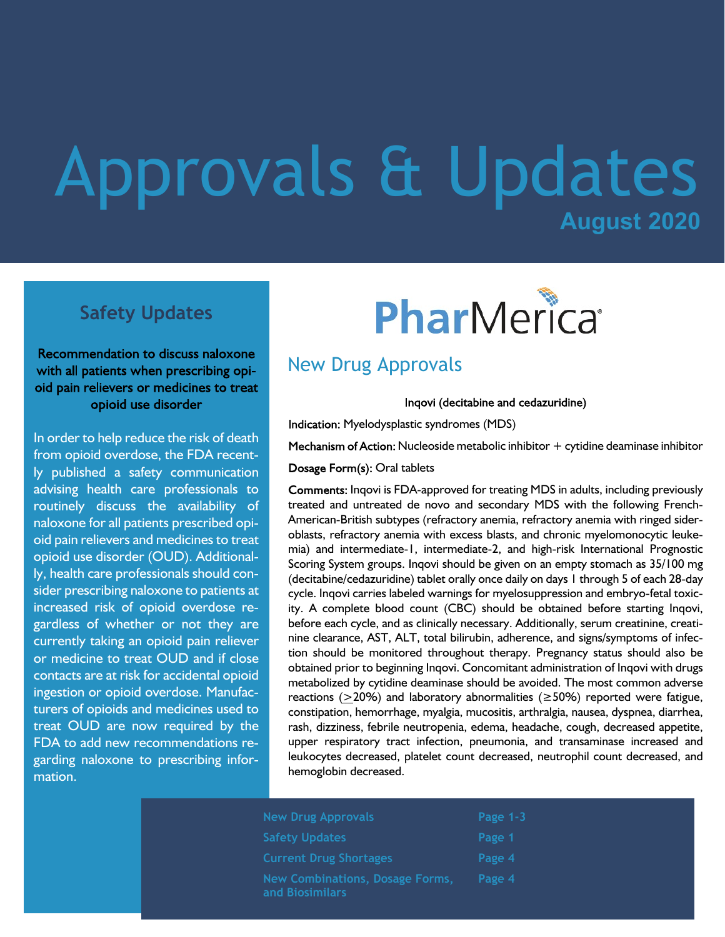## **August 2020** Approvals & Updates

### **Safety Updates**

Recommendation to discuss naloxone with all patients when prescribing opioid pain relievers or medicines to treat opioid use disorder

In order to help reduce the risk of death from opioid overdose, the FDA recently published a safety communication advising health care professionals to routinely discuss the availability of naloxone for all patients prescribed opioid pain relievers and medicines to treat opioid use disorder (OUD). Additionally, health care professionals should consider prescribing naloxone to patients at increased risk of opioid overdose regardless of whether or not they are currently taking an opioid pain reliever or medicine to treat OUD and if close contacts are at risk for accidental opioid ingestion or opioid overdose. Manufacturers of opioids and medicines used to treat OUD are now required by the FDA to add new recommendations regarding naloxone to prescribing information.

# PharMerica®

## New Drug Approvals

Inqovi (decitabine and cedazuridine)

Indication: Myelodysplastic syndromes (MDS)

Mechanism of Action: Nucleoside metabolic inhibitor  $+$  cytidine deaminase inhibitor

Dosage Form(s): Oral tablets

Comments: Inqovi is FDA-approved for treating MDS in adults, including previously treated and untreated de novo and secondary MDS with the following French-American-British subtypes (refractory anemia, refractory anemia with ringed sideroblasts, refractory anemia with excess blasts, and chronic myelomonocytic leukemia) and intermediate-1, intermediate-2, and high-risk International Prognostic Scoring System groups. Inqovi should be given on an empty stomach as 35/100 mg (decitabine/cedazuridine) tablet orally once daily on days 1 through 5 of each 28-day cycle. Inqovi carries labeled warnings for myelosuppression and embryo-fetal toxicity. A complete blood count (CBC) should be obtained before starting Inqovi, before each cycle, and as clinically necessary. Additionally, serum creatinine, creatinine clearance, AST, ALT, total bilirubin, adherence, and signs/symptoms of infection should be monitored throughout therapy. Pregnancy status should also be obtained prior to beginning Inqovi. Concomitant administration of Inqovi with drugs metabolized by cytidine deaminase should be avoided. The most common adverse reactions (>20%) and laboratory abnormalities ( $\geq$ 50%) reported were fatigue, constipation, hemorrhage, myalgia, mucositis, arthralgia, nausea, dyspnea, diarrhea, rash, dizziness, febrile neutropenia, edema, headache, cough, decreased appetite, upper respiratory tract infection, pneumonia, and transaminase increased and leukocytes decreased, platelet count decreased, neutrophil count decreased, and hemoglobin decreased.

| <b>New Drug Approvals</b>                          | Page 1-3 |
|----------------------------------------------------|----------|
| <b>Safety Updates</b>                              | Page 1   |
| <b>Current Drug Shortages</b>                      | Page 4   |
| New Combinations, Dosage Forms,<br>and Biosimilars | Page 4   |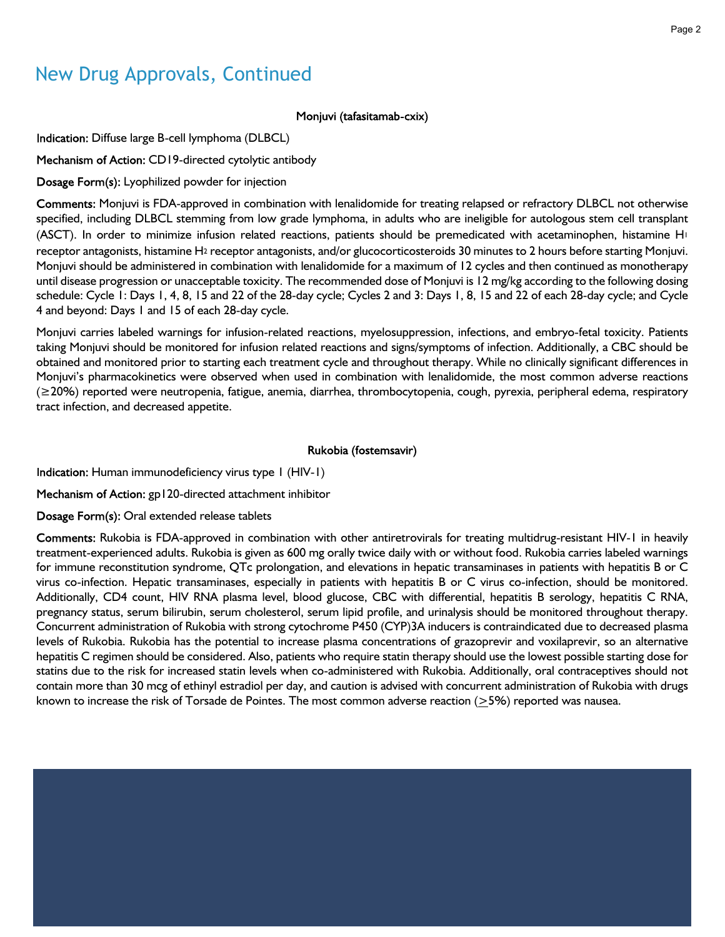## New Drug Approvals, Continued

#### Monjuvi (tafasitamab-cxix)

Indication: Diffuse large B-cell lymphoma (DLBCL)

Mechanism of Action: CD19-directed cytolytic antibody

Dosage Form(s): Lyophilized powder for injection

Comments: Monjuvi is FDA-approved in combination with lenalidomide for treating relapsed or refractory DLBCL not otherwise specified, including DLBCL stemming from low grade lymphoma, in adults who are ineligible for autologous stem cell transplant (ASCT). In order to minimize infusion related reactions, patients should be premedicated with acetaminophen, histamine H<sup>1</sup> receptor antagonists, histamine H2 receptor antagonists, and/or glucocorticosteroids 30 minutes to 2 hours before starting Monjuvi. Monjuvi should be administered in combination with lenalidomide for a maximum of 12 cycles and then continued as monotherapy until disease progression or unacceptable toxicity. The recommended dose of Monjuvi is 12 mg/kg according to the following dosing schedule: Cycle 1: Days 1, 4, 8, 15 and 22 of the 28-day cycle; Cycles 2 and 3: Days 1, 8, 15 and 22 of each 28-day cycle; and Cycle 4 and beyond: Days 1 and 15 of each 28-day cycle.

Monjuvi carries labeled warnings for infusion-related reactions, myelosuppression, infections, and embryo-fetal toxicity. Patients taking Monjuvi should be monitored for infusion related reactions and signs/symptoms of infection. Additionally, a CBC should be obtained and monitored prior to starting each treatment cycle and throughout therapy. While no clinically significant differences in Monjuvi's pharmacokinetics were observed when used in combination with lenalidomide, the most common adverse reactions (≥20%) reported were neutropenia, fatigue, anemia, diarrhea, thrombocytopenia, cough, pyrexia, peripheral edema, respiratory tract infection, and decreased appetite.

#### Rukobia (fostemsavir)

Indication: Human immunodeficiency virus type 1 (HIV-1)

Mechanism of Action: gp120-directed attachment inhibitor

Dosage Form(s): Oral extended release tablets

Comments: Rukobia is FDA-approved in combination with other antiretrovirals for treating multidrug-resistant HIV-1 in heavily treatment-experienced adults. Rukobia is given as 600 mg orally twice daily with or without food. Rukobia carries labeled warnings for immune reconstitution syndrome, QTc prolongation, and elevations in hepatic transaminases in patients with hepatitis B or C virus co-infection. Hepatic transaminases, especially in patients with hepatitis B or C virus co-infection, should be monitored. Additionally, CD4 count, HIV RNA plasma level, blood glucose, CBC with differential, hepatitis B serology, hepatitis C RNA, pregnancy status, serum bilirubin, serum cholesterol, serum lipid profile, and urinalysis should be monitored throughout therapy. Concurrent administration of Rukobia with strong cytochrome P450 (CYP)3A inducers is contraindicated due to decreased plasma levels of Rukobia. Rukobia has the potential to increase plasma concentrations of grazoprevir and voxilaprevir, so an alternative hepatitis C regimen should be considered. Also, patients who require statin therapy should use the lowest possible starting dose for statins due to the risk for increased statin levels when co-administered with Rukobia. Additionally, oral contraceptives should not contain more than 30 mcg of ethinyl estradiol per day, and caution is advised with concurrent administration of Rukobia with drugs known to increase the risk of Torsade de Pointes. The most common adverse reaction (>5%) reported was nausea.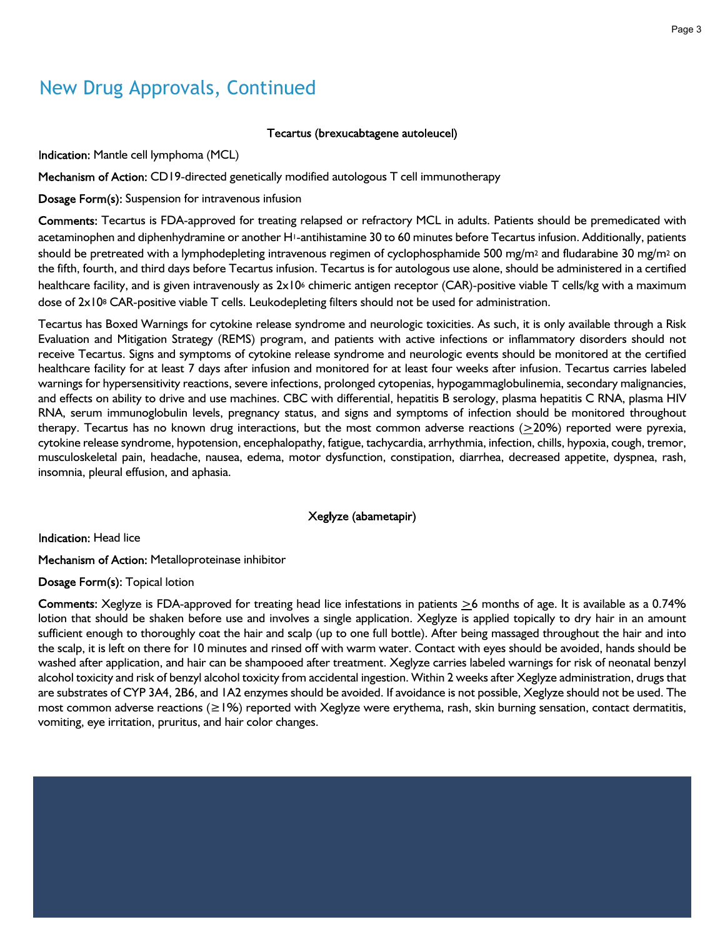## New Drug Approvals, Continued

#### Tecartus (brexucabtagene autoleucel)

Indication: Mantle cell lymphoma (MCL)

Mechanism of Action: CD19-directed genetically modified autologous T cell immunotherapy

Dosage Form(s): Suspension for intravenous infusion

Comments: Tecartus is FDA-approved for treating relapsed or refractory MCL in adults. Patients should be premedicated with acetaminophen and diphenhydramine or another H1-antihistamine 30 to 60 minutes before Tecartus infusion. Additionally, patients should be pretreated with a lymphodepleting intravenous regimen of cyclophosphamide 500 mg/m<sup>2</sup> and fludarabine 30 mg/m<sup>2</sup> on the fifth, fourth, and third days before Tecartus infusion. Tecartus is for autologous use alone, should be administered in a certified healthcare facility, and is given intravenously as  $2x10<sup>6</sup>$  chimeric antigen receptor (CAR)-positive viable T cells/kg with a maximum dose of 2x108 CAR-positive viable T cells. Leukodepleting filters should not be used for administration.

Tecartus has Boxed Warnings for cytokine release syndrome and neurologic toxicities. As such, it is only available through a Risk Evaluation and Mitigation Strategy (REMS) program, and patients with active infections or inflammatory disorders should not receive Tecartus. Signs and symptoms of cytokine release syndrome and neurologic events should be monitored at the certified healthcare facility for at least 7 days after infusion and monitored for at least four weeks after infusion. Tecartus carries labeled warnings for hypersensitivity reactions, severe infections, prolonged cytopenias, hypogammaglobulinemia, secondary malignancies, and effects on ability to drive and use machines. CBC with differential, hepatitis B serology, plasma hepatitis C RNA, plasma HIV RNA, serum immunoglobulin levels, pregnancy status, and signs and symptoms of infection should be monitored throughout therapy. Tecartus has no known drug interactions, but the most common adverse reactions  $(20%)$  reported were pyrexia, cytokine release syndrome, hypotension, encephalopathy, fatigue, tachycardia, arrhythmia, infection, chills, hypoxia, cough, tremor, musculoskeletal pain, headache, nausea, edema, motor dysfunction, constipation, diarrhea, decreased appetite, dyspnea, rash, insomnia, pleural effusion, and aphasia.

#### Xeglyze (abametapir)

Indication: Head lice

Mechanism of Action: Metalloproteinase inhibitor

Dosage Form(s): Topical lotion

Comments: Xeglyze is FDA-approved for treating head lice infestations in patients  $\geq 6$  months of age. It is available as a 0.74% lotion that should be shaken before use and involves a single application. Xeglyze is applied topically to dry hair in an amount sufficient enough to thoroughly coat the hair and scalp (up to one full bottle). After being massaged throughout the hair and into the scalp, it is left on there for 10 minutes and rinsed off with warm water. Contact with eyes should be avoided, hands should be washed after application, and hair can be shampooed after treatment. Xeglyze carries labeled warnings for risk of neonatal benzyl alcohol toxicity and risk of benzyl alcohol toxicity from accidental ingestion. Within 2 weeks after Xeglyze administration, drugs that are substrates of CYP 3A4, 2B6, and 1A2 enzymes should be avoided. If avoidance is not possible, Xeglyze should not be used. The most common adverse reactions (≥1%) reported with Xeglyze were erythema, rash, skin burning sensation, contact dermatitis, vomiting, eye irritation, pruritus, and hair color changes.